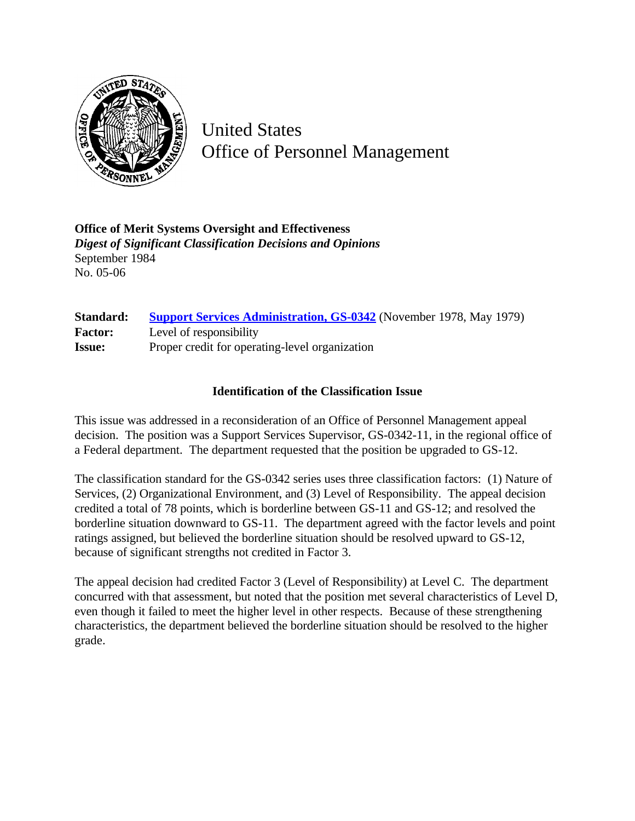

United States Office of Personnel Management

**Office of Merit Systems Oversight and Effectiveness** *Digest of Significant Classification Decisions and Opinions* September 1984 No. 05-06

| <b>Standard:</b> | <b>Support Services Administration, GS-0342</b> (November 1978, May 1979) |
|------------------|---------------------------------------------------------------------------|
| <b>Factor:</b>   | Level of responsibility                                                   |
| <b>Issue:</b>    | Proper credit for operating-level organization                            |

# **Identification of the Classification Issue**

This issue was addressed in a reconsideration of an Office of Personnel Management appeal decision. The position was a Support Services Supervisor, GS-0342-11, in the regional office of a Federal department. The department requested that the position be upgraded to GS-12.

The classification standard for the GS-0342 series uses three classification factors: (1) Nature of Services, (2) Organizational Environment, and (3) Level of Responsibility. The appeal decision credited a total of 78 points, which is borderline between GS-11 and GS-12; and resolved the borderline situation downward to GS-11. The department agreed with the factor levels and point ratings assigned, but believed the borderline situation should be resolved upward to GS-12, because of significant strengths not credited in Factor 3.

The appeal decision had credited Factor 3 (Level of Responsibility) at Level C. The department concurred with that assessment, but noted that the position met several characteristics of Level D, even though it failed to meet the higher level in other respects. Because of these strengthening characteristics, the department believed the borderline situation should be resolved to the higher grade.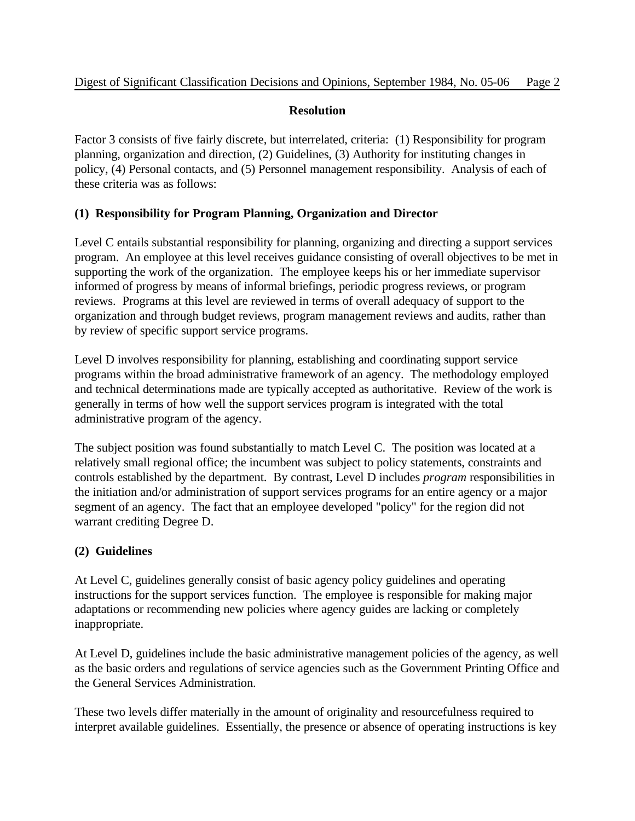#### **Resolution**

Factor 3 consists of five fairly discrete, but interrelated, criteria: (1) Responsibility for program planning, organization and direction, (2) Guidelines, (3) Authority for instituting changes in policy, (4) Personal contacts, and (5) Personnel management responsibility. Analysis of each of these criteria was as follows:

# **(1) Responsibility for Program Planning, Organization and Director**

Level C entails substantial responsibility for planning, organizing and directing a support services program. An employee at this level receives guidance consisting of overall objectives to be met in supporting the work of the organization. The employee keeps his or her immediate supervisor informed of progress by means of informal briefings, periodic progress reviews, or program reviews. Programs at this level are reviewed in terms of overall adequacy of support to the organization and through budget reviews, program management reviews and audits, rather than by review of specific support service programs.

Level D involves responsibility for planning, establishing and coordinating support service programs within the broad administrative framework of an agency. The methodology employed and technical determinations made are typically accepted as authoritative. Review of the work is generally in terms of how well the support services program is integrated with the total administrative program of the agency.

The subject position was found substantially to match Level C. The position was located at a relatively small regional office; the incumbent was subject to policy statements, constraints and controls established by the department. By contrast, Level D includes *program* responsibilities in the initiation and/or administration of support services programs for an entire agency or a major segment of an agency. The fact that an employee developed "policy" for the region did not warrant crediting Degree D.

# **(2) Guidelines**

At Level C, guidelines generally consist of basic agency policy guidelines and operating instructions for the support services function. The employee is responsible for making major adaptations or recommending new policies where agency guides are lacking or completely inappropriate.

At Level D, guidelines include the basic administrative management policies of the agency, as well as the basic orders and regulations of service agencies such as the Government Printing Office and the General Services Administration.

These two levels differ materially in the amount of originality and resourcefulness required to interpret available guidelines. Essentially, the presence or absence of operating instructions is key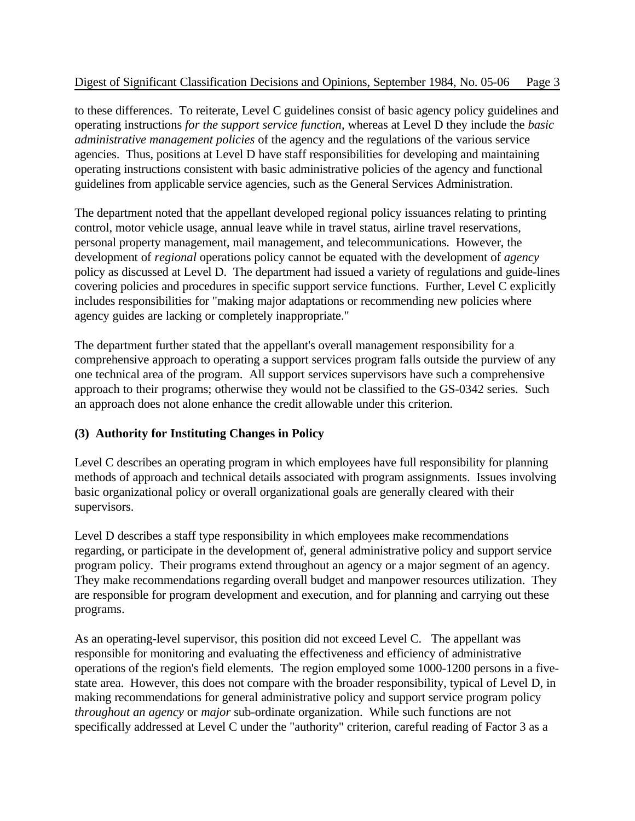#### Digest of Significant Classification Decisions and Opinions, September 1984, No. 05-06 Page 3

to these differences. To reiterate, Level C guidelines consist of basic agency policy guidelines and operating instructions *for the support service function*, whereas at Level D they include the *basic administrative management policies* of the agency and the regulations of the various service agencies. Thus, positions at Level D have staff responsibilities for developing and maintaining operating instructions consistent with basic administrative policies of the agency and functional guidelines from applicable service agencies, such as the General Services Administration.

The department noted that the appellant developed regional policy issuances relating to printing control, motor vehicle usage, annual leave while in travel status, airline travel reservations, personal property management, mail management, and telecommunications. However, the development of *regional* operations policy cannot be equated with the development of *agency* policy as discussed at Level D. The department had issued a variety of regulations and guide-lines covering policies and procedures in specific support service functions. Further, Level C explicitly includes responsibilities for "making major adaptations or recommending new policies where agency guides are lacking or completely inappropriate."

The department further stated that the appellant's overall management responsibility for a comprehensive approach to operating a support services program falls outside the purview of any one technical area of the program. All support services supervisors have such a comprehensive approach to their programs; otherwise they would not be classified to the GS-0342 series. Such an approach does not alone enhance the credit allowable under this criterion.

# **(3) Authority for Instituting Changes in Policy**

Level C describes an operating program in which employees have full responsibility for planning methods of approach and technical details associated with program assignments. Issues involving basic organizational policy or overall organizational goals are generally cleared with their supervisors.

Level D describes a staff type responsibility in which employees make recommendations regarding, or participate in the development of, general administrative policy and support service program policy. Their programs extend throughout an agency or a major segment of an agency. They make recommendations regarding overall budget and manpower resources utilization. They are responsible for program development and execution, and for planning and carrying out these programs.

As an operating-level supervisor, this position did not exceed Level C. The appellant was responsible for monitoring and evaluating the effectiveness and efficiency of administrative operations of the region's field elements. The region employed some 1000-1200 persons in a fivestate area. However, this does not compare with the broader responsibility, typical of Level D, in making recommendations for general administrative policy and support service program policy *throughout an agency* or *major* sub-ordinate organization. While such functions are not specifically addressed at Level C under the "authority" criterion, careful reading of Factor 3 as a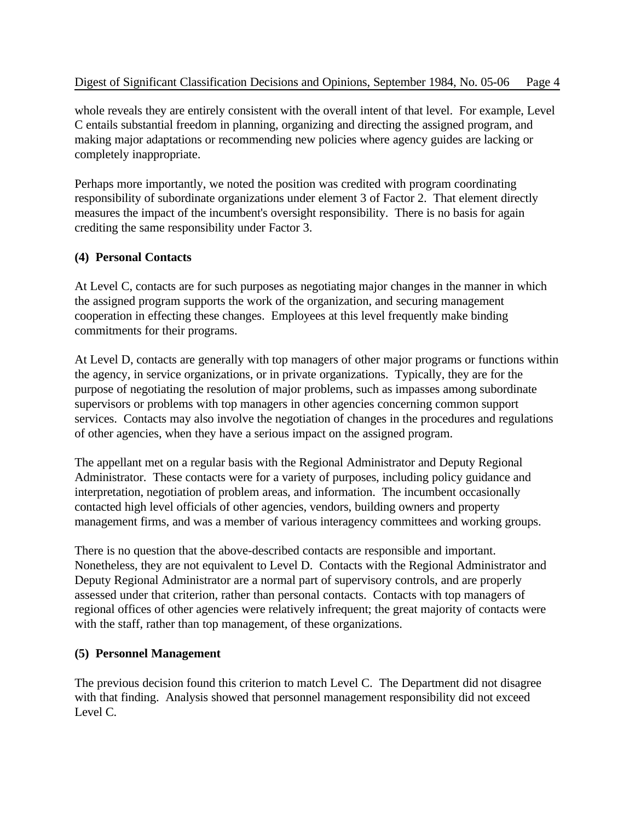whole reveals they are entirely consistent with the overall intent of that level. For example, Level C entails substantial freedom in planning, organizing and directing the assigned program, and making major adaptations or recommending new policies where agency guides are lacking or completely inappropriate.

Perhaps more importantly, we noted the position was credited with program coordinating responsibility of subordinate organizations under element 3 of Factor 2. That element directly measures the impact of the incumbent's oversight responsibility. There is no basis for again crediting the same responsibility under Factor 3.

# **(4) Personal Contacts**

At Level C, contacts are for such purposes as negotiating major changes in the manner in which the assigned program supports the work of the organization, and securing management cooperation in effecting these changes. Employees at this level frequently make binding commitments for their programs.

At Level D, contacts are generally with top managers of other major programs or functions within the agency, in service organizations, or in private organizations. Typically, they are for the purpose of negotiating the resolution of major problems, such as impasses among subordinate supervisors or problems with top managers in other agencies concerning common support services. Contacts may also involve the negotiation of changes in the procedures and regulations of other agencies, when they have a serious impact on the assigned program.

The appellant met on a regular basis with the Regional Administrator and Deputy Regional Administrator. These contacts were for a variety of purposes, including policy guidance and interpretation, negotiation of problem areas, and information. The incumbent occasionally contacted high level officials of other agencies, vendors, building owners and property management firms, and was a member of various interagency committees and working groups.

There is no question that the above-described contacts are responsible and important. Nonetheless, they are not equivalent to Level D. Contacts with the Regional Administrator and Deputy Regional Administrator are a normal part of supervisory controls, and are properly assessed under that criterion, rather than personal contacts. Contacts with top managers of regional offices of other agencies were relatively infrequent; the great majority of contacts were with the staff, rather than top management, of these organizations.

# **(5) Personnel Management**

The previous decision found this criterion to match Level C. The Department did not disagree with that finding. Analysis showed that personnel management responsibility did not exceed Level C.